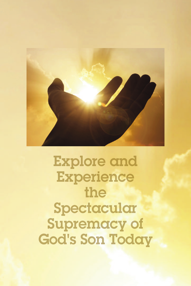

**Explore and Experience the Spectacular Supremacy of God's Son Today**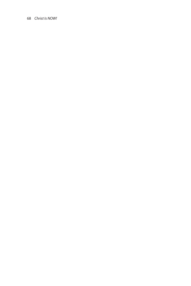#### *Christ Is NOW!*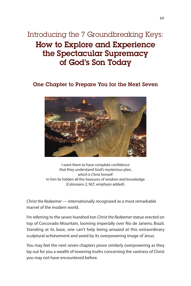# Introducing the 7 Groundbreaking Keys: **How to Explore and Experience the Spectacular Supremacy of God's Son Today**

#### **One Chapter to Prepare You for the Next Seven**



I want them to have complete confidence that they understand God's mysterious plan, *which is Christ himself.* In him lie hidden all the treasures of wisdom and knowledge (Colossians 2, NLT, emphasis added).

*Christ the Redeemer* — internationally recognized as a most remarkable marvel of the modern world.

I'm referring to the seven-hundred-ton *Christ the Redeemer*statue erected on top of Corcovado Mountain, looming imperially over Rio de Janeiro, Brazil. Standing at its base, one can't help being amazed at this extraordinary sculptural achievement and awed by its overpowering image of Jesus.

You may feel the next seven chapters prove similarly overpowering as they lay out for you a wealth of towering truths concerning the vastness of Christ you may not have encountered before.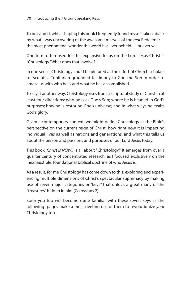To be candid, while shaping this book I frequently found myself taken aback by what I was uncovering of the awesome marvels of the *real* Redeemer the most phenomenal wonder the world has ever beheld — or ever will.

One term often used for this expansive focus on the Lord Jesus Christ is "Christology."What does that involve?

In one sense, Christology could be pictured as the effort of Church scholars to "sculpt" a Trinitarian-grounded testimony to God the Son in order to amaze us with who he is and what he has accomplished.

To say it another way, Christology rises from a scriptural study of Christ in at least four directions: who he is as God's Son; where he is headed in God's purposes; how he is restoring God's universe; and in what ways he exalts God's glory.

Given a contemporary context, we might define Christology as the Bible's perspective on the current reign of Christ, how right now it is impacting individual lives as well as nations and generations, and what this tells us about the person and passions and purposes of our Lord Jesus today.

This book, *Christ Is NOW!,* is all about "Christology." It emerges from over a quarter century of concentrated research, as I focused exclusively on the inexhaustible, foundational biblical doctrine of who Jesus is.

As a result, for me Christology has come down to this: exploring and experiencing multiple dimensions of Christ's spectacular supremacy by making use of seven major categories or "keys" that unlock a great many of the "treasures"hidden in him (Colossians 2).

Soon you too will become quite familiar with these seven keys as the following pages make a most riveting use of them to revolutionize *your* Christology too.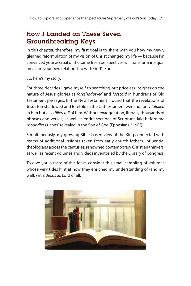# **How I Landed on These Seven Groundbreaking Keys**

In this chapter, therefore, my first goal is to share with you how my newly gleaned reformulation of my vision of Christ changed my life — because I'm convinced your accrual of the same fresh perspectives will transform in equal measure your *own* relationship with God's Son.

So, here's my story.

For three decades I gave myself to searching out priceless insights on the nature of Jesus' glories as *foreshadowed* and *foretold* in hundreds of Old Testament passages. In the New Testament I found that the revelations of Jesusforeshadowed and foretold in the Old Testament were not only *fulfilled* in him but also *filled full* of him. Without exaggeration, literally thousands of phrases and verses, as well as entire sections of Scripture, laid before me "*boundless* riches"revealed in the Son of God (Ephesians 3, NIV).

Simultaneously, my growing Bible-based view of the King connected with reams of additional insights taken from early church fathers, influential theologians across the centuries, renowned contemporary Christian thinkers, as well as recent volumes and videos inventoried by the Library of Congress.

To give you a taste of this feast, consider this small sampling of volumes whose very titles hint at how they enriched my understanding of (and my walk with) Jesus as Lord of all:

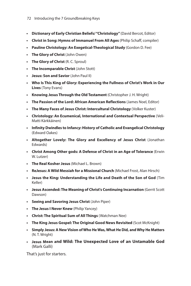#### 72 Introducing the 7 Groundbreaking Keys

- **• Dictionary of Early Christian Beliefs/ "Christology"** (David Bercot, Editor)
- **• Christ in Song: Hymns of Immanuel From All Ages** (Philip Schaff, compiler)
- **• Pauline Christology: An Exegetical-Theological Study** (Gordon D. Fee)
- **• The Glory of Christ** (John Owen)
- **• The Glory of Christ** (R. C. Sproul)
- **• The Incomparable Christ** (John Stott)
- **• Jesus: Son and Savior** (John Paul II)
- **• Who Is This King of Glory: Experiencing the Fullness of Christ's Work in Our Lives** (Tony Evans)
- **• Knowing Jesus Through the Old Testament** (Christopher J. H. Wright)
- **• The Passion of the Lord: African American Reflections** (James Noel, Editor)
- **• The Many Faces of Jesus Christ: Intercultural Christology** (Volker Kuster)
- **• Christology: An Ecumenical, International and Contextual Perspective** (Veli-Matti Kärkkäinen)
- **• Infinity Dwindles to Infancy: History of Catholic and Evangelical Christology** (Edward Oakes)
- **• Altogether Lovely: The Glory and Excellency of Jesus Christ** (Jonathan Edwards)
- **• Christ Among Other gods: A Defense of Christ in an Age of Tolerance** (Erwin W. Lutzer)
- **• The Real Kosher Jesus** (Michael L. Brown)
- **• ReJesus: A Wild Messiah for <sup>a</sup> Missional Church** (Michael Frost, Alan Hirsch)
- **• Jesus the King: Understanding the Life and Death of the Son of God** (Tim Keller)
- **• Jesus Ascended: The Meaning of Christ's Continuing Incarnation** (Gerrit Scott Dawson)
- **• Seeing and Savoring Jesus Christ** (John Piper)
- **• The Jesus I Never Knew** (Philip Yancey)
- **• Christ: The Spiritual Sum of All Things** (Watchman Nee)
- **• The King Jesus Gospel: The Original Good News Revisited** (Scot McKnight)
- **• Simply Jesus: A NewVision ofWho HeWas,What He Did, andWhy He Matters** (N. T. Wright)
- **• Jesus Mean and Wild: The Unexpected Love of an Untamable God** (Mark Galli)

That's just for starters.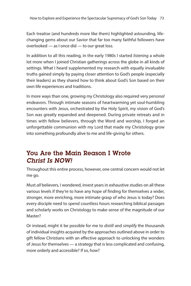Each treatise (and hundreds more like them) highlighted astounding, lifechanging gems about our Savior that far too many faithful followers have overlooked — as I once did — to our great loss.

In addition to all this reading, in the early 1980s I started *listening* a whole lot more when I joined Christian gatherings across the globe in all kinds of settings. What I heard supplemented my research with equally invaluable truths gained simply by paying closer attention to God's people (especially their leaders) as they shared how to think about God's Son based on their own life experiences and traditions.

In more ways than one, growing my Christology also required very *personal* endeavors. Through intimate seasons of heartwarming yet soul-humbling encounters with Jesus, orchestrated by the Holy Spirit, my vision of God's Son was greatly expanded and deepened. During private retreats and in times with fellow believers, through the Word and worship, I forged an unforgettable communion with my Lord that made my Christology grow into something profoundly alive to me and life-giving for others.

## **You Are the Main Reason I Wrote** *Christ Is NOW!*

Throughout this entire process, however, one central concern would not let me go.

Must *all* believers, I wondered, invest years in exhaustive studies on all these various levels if they're to have any hope of finding for themselves a wider, stronger, more enriching, more intimate grasp of who Jesus is today? Does every disciple need to spend countless hours researching biblical passages and scholarly works on Christology to make sense of the magnitude of our Master?

Or instead, might it be possible for me to *distill* and *simplify* the thousands of individual insights acquired by the approaches outlined above in order to gift fellow Christians with an effective approach to unlocking the wonders of Jesus for themselves — a strategy that is less complicated and confusing, more orderly and accessible? If so, how?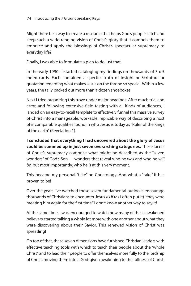Might there be a way to create a resource that helps God's people catch and keep such a wide-ranging vision of Christ's glory that it compels them to embrace and apply the blessings of Christ's spectacular supremacy to everyday life?

Finally, I was able to formulate a plan to do just that.

In the early 1990s I started cataloging my findings on thousands of 3 x 5 index cards. Each contained a specific truth or insight or Scripture or quotation regarding what makesJesus on the throne so special. Within a few years, the tally packed out more than a dozen shoeboxes!

Next I tried organizing this trove under major headings. After much trial and error, and following extensive field-testing with all kinds of audiences, I landed on an easy-to-recall template to effectively funnel this massive survey of Christ into a manageable, workable, replicable way of describing a host of incomparable qualities found in who Jesus is today as"Ruler of the kings of the earth"(Revelation 1).

**I concluded that everything I had uncovered about the glory of Jesus could be summed up in just seven overarching categories.** These facets of Christ's supremacy comprise what might be described as the "seven wonders" of God's Son — wonders that reveal who he *was* and who he *will be,* but most importantly, who he *is* at this very moment.

This became my personal "take" on Christology. And what a "take" it has proven to be!

Over the years I've watched these seven fundamental outlooks encourage thousands of Christians to encounter Jesus *asif* (as I often put it)"they were meeting him again for the first time."I don't know another way to say it!

At the same time, I was encouraged to watch how many of these awakened believers started talking a whole lot more with one another about what they were discovering about their Savior. This renewed vision of Christ was spreading!

On top of that, these seven dimensions have furnished Christian leaders with effective teaching tools with which to teach their people about the "whole Christ"and to lead their people to offer themselves more fully to the lordship of Christ, moving them into a God-given awakening to the fullness of Christ.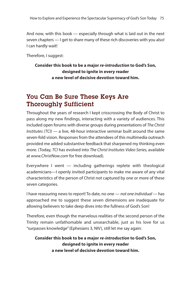And now, with this book — especially through what is laid out in the next seven chapters — I get to share many of these rich discoveries with you also! I can hardly wait!

Therefore, I suggest:

**Consider this book to be a major** *re-introduction* **to God's Son, designed to ignite in every reader a new level of decisive devotion toward him.**

## **You Can Be Sure These Keys Are Thoroughly Sufficient**

Throughout the years of research I kept crisscrossing the Body of Christ to pass along my new findings, interacting with a variety of audiences. This included open forums with diverse groups during presentations of *The Christ Institutes (TCI)* — a live, 48-hour interactive seminar built around the same seven-fold vision. Responses from the attendees of this multimedia outreach provided me added substantive feedback that sharpened my thinking even more. (Today, *TCI* has evolved into *The Christ Institutes Video Series,* available at *www.ChristNow.com* for free download).

Everywhere I went — including gatherings replete with theological academicians—I openly invited participants to make me aware of any vital characteristics of the person of Christ not captured by one or more of these seven categories.

I have reassuring newsto report! To date, no one — *not one individual* — has approached me to suggest these seven dimensions are inadequate for allowing believers to take deep dives into the fullness of God's Son!

Therefore, even though the marvelous realities of the second person of the Trinity remain unfathomable and unsearchable, just as his love for us "surpasses knowledge"(Ephesians 3, NIV), still let me say again:

**Consider this book to be a major** *re-introduction* **to God's Son, designed to ignite in every reader a new level of decisive devotion toward him.**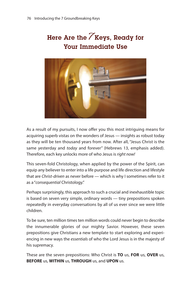# **Here Are the 7 Keys, Ready for Your Immediate Use**



As a result of my pursuits, I now offer you this most intriguing means for acquiring superb vistas on the wonders of Jesus — insights as robust today as they will be ten thousand years from now. After all, "Jesus Christ is the same yesterday and *today* and forever" (Hebrews 13, emphasis added). Therefore, each key unlocks more of who Jesus is *right now!*

This seven-fold Christology, when applied by the power of the Spirit, can equip any believer to enter into a life purpose and life direction and lifestyle that are *Christ-driven* as never before — which is why I sometimes refer to it as a "*consequential* Christology."

Perhaps surprisingly, this approach to such a crucial and inexhaustible topic is based on seven very simple, ordinary words — tiny prepositions spoken repeatedly in everyday conversations by all of us ever since we were little children.

To be sure, ten million times ten million words could never begin to describe the innumerable glories of our mighty Savior. However, these seven prepositions give Christians a new template to start exploring and experiencing in new ways the *essentials* of who the Lord Jesus is in the majesty of his supremacy.

These are the seven prepositions: Who Christ is **TO** us, **FOR** us, **OVER** us, **BEFORE** us, **WITHIN** us, **THROUGH** us, and **UPON** us.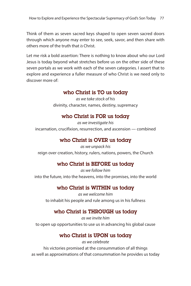Think of them as seven sacred keys shaped to open seven sacred doors through which anyone may enter to see, seek, savor, and then share with others more of the truth that *is* Christ.

Let me risk a bold assertion: There is nothing to know about who our Lord Jesus is today beyond what stretches before us on the other side of these seven portals as we work with each of the seven categories. I assert that to explore and experience a fuller measure of who Christ is we need only to discover more of:

#### **who Christ is TO us today**

*as we take stock of his* divinity, character, names, destiny, supremacy

#### **who Christ is FOR us today**

*as we investigate his* incarnation, crucifixion, resurrection, and ascension — combined

#### **who Christ is OVER us today**

*as we unpack his* reign over creation, history, rulers, nations, powers, the Church

### **who Christ is BEFORE us today**

*as we follow him* into the future, into the heavens, into the promises, into the world

### **who Christ is WITHIN us today**

*as we welcome him* to inhabit his people and rule among us in his fullness

## **who Christ is THROUGH us today**

*as we invite him* to open up opportunities to use us in advancing his global cause

## **who Christ is UPON us today**

*as we celebrate*

his victories promised at the consummation of all things as well as approximations of that consummation he provides us today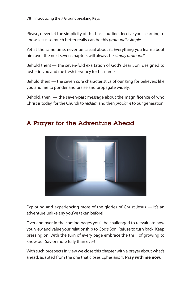Please, never let the simplicity of this basic outline deceive you. Learning to know Jesus so much better really can be this *profoundly simple.*

Yet at the same time, never be casual about it. Everything you learn about him over the next seven chapters will always be *simply profound!*

Behold then! — the seven-fold exaltation of God's dear Son, designed to foster in you and me fresh fervency for his name.

Behold then! — the seven core characteristics of our King for believers like you and me to ponder and praise and propagate widely.

Behold, then! — the seven-part message about the magnificence of who Christ istoday, for the Church to *reclaim* and then *proclaim* to our generation.



# **A Prayer for the Adventure Ahead**

Exploring and experiencing more of the glories of Christ Jesus — it's an adventure unlike any you've taken before!

Over and over in the coming pages you'll be challenged to reevaluate how you view and value your relationship to God's Son. Refuse to turn back. Keep pressing on. With the turn of every page embrace the thrill of growing to know our Savior more fully than ever!

With such prospects in view we close this chapter with a prayer about what's ahead, adapted from the one that closes Ephesians 1. **Pray with me now:**